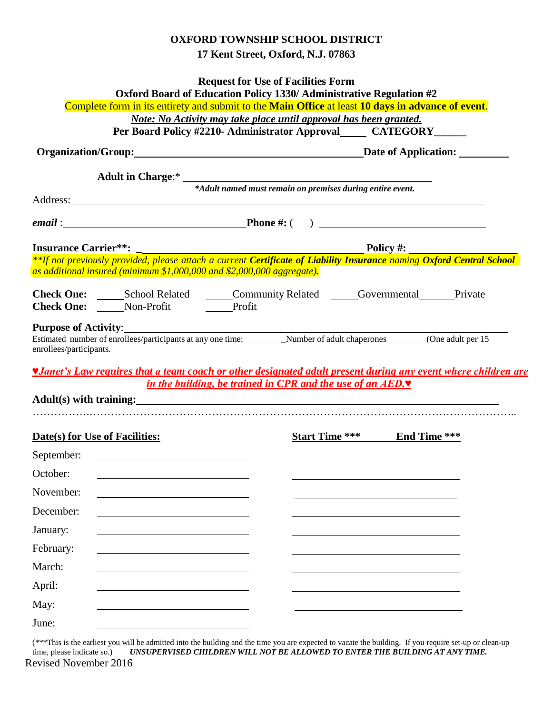## **OXFORD TOWNSHIP SCHOOL DISTRICT 17 Kent Street, Oxford, N.J. 07863**

|                                |                                                                                                                       | <b>Request for Use of Facilities Form</b><br>Oxford Board of Education Policy 1330/ Administrative Regulation #2                                                                                                                                                                                  |  |
|--------------------------------|-----------------------------------------------------------------------------------------------------------------------|---------------------------------------------------------------------------------------------------------------------------------------------------------------------------------------------------------------------------------------------------------------------------------------------------|--|
|                                |                                                                                                                       | Complete form in its entirety and submit to the Main Office at least 10 days in advance of event.<br>Note: No Activity may take place until approval has been granted.                                                                                                                            |  |
|                                |                                                                                                                       | Per Board Policy #2210- Administrator Approval CATEGORY                                                                                                                                                                                                                                           |  |
|                                |                                                                                                                       | Organization/Group: Date of Application:                                                                                                                                                                                                                                                          |  |
|                                |                                                                                                                       |                                                                                                                                                                                                                                                                                                   |  |
|                                |                                                                                                                       |                                                                                                                                                                                                                                                                                                   |  |
|                                |                                                                                                                       |                                                                                                                                                                                                                                                                                                   |  |
|                                |                                                                                                                       |                                                                                                                                                                                                                                                                                                   |  |
|                                | as additional insured (minimum \$1,000,000 and \$2,000,000 aggregate).                                                | <b>Insurance Carrier**:</b><br>Folicy #: Policy #: Phot previously provided, please attach a current Certificate of Liability Insurance naming Oxford Central School                                                                                                                              |  |
|                                | Check One: Non-Profit Profit                                                                                          |                                                                                                                                                                                                                                                                                                   |  |
|                                |                                                                                                                       | Purpose of Activity: <u>contract and the contract of Activity</u>                                                                                                                                                                                                                                 |  |
| enrollees/participants.        |                                                                                                                       | Estimated number of enrolles/participants at any one time: Number of adult chaperones (One adult per 15<br><i><b>V</b>Janet's Law requires that a team coach or other designated adult present during any event where children are</i>                                                            |  |
|                                |                                                                                                                       | in the building, be trained in CPR and the use of an AED.<br>Adult(s) with training: <u>example and the set of the set of the set of the set of the set of the set of the set of the set of the set of the set of the set of the set of the set of the set of the set of the set of the set o</u> |  |
| Date(s) for Use of Facilities: |                                                                                                                       | <b>Start Time ***</b> End Time ***                                                                                                                                                                                                                                                                |  |
| September:                     | <u> 1999 - Johann Barn, mars and de Branch Barn, mars and de Branch Barn, mars and de Branch Barn, mars and de Br</u> |                                                                                                                                                                                                                                                                                                   |  |
| October:                       |                                                                                                                       |                                                                                                                                                                                                                                                                                                   |  |
|                                |                                                                                                                       |                                                                                                                                                                                                                                                                                                   |  |
| November:<br>December:         |                                                                                                                       |                                                                                                                                                                                                                                                                                                   |  |
| January:                       |                                                                                                                       |                                                                                                                                                                                                                                                                                                   |  |
| February:                      |                                                                                                                       |                                                                                                                                                                                                                                                                                                   |  |
| March:                         |                                                                                                                       |                                                                                                                                                                                                                                                                                                   |  |
| April:                         |                                                                                                                       |                                                                                                                                                                                                                                                                                                   |  |
| May:                           |                                                                                                                       |                                                                                                                                                                                                                                                                                                   |  |

Revised November 2016 (\*\*\*This is the earliest you will be admitted into the building and the time you are expected to vacate the building. If you require set-up or clean-up time, please indicate so.) *UNSUPERVISED CHILDREN WILL NOT BE ALLOWED TO ENTER THE BUILDING AT ANY TIME.*